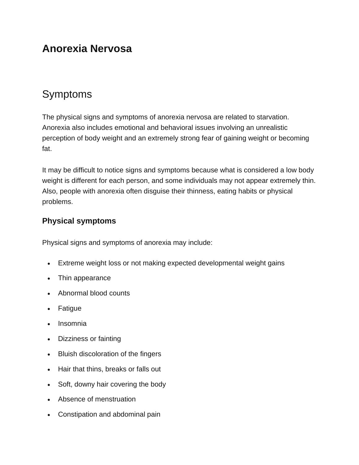## **Anorexia Nervosa**

## Symptoms

The physical signs and symptoms of anorexia nervosa are related to starvation. Anorexia also includes emotional and behavioral issues involving an unrealistic perception of body weight and an extremely strong fear of gaining weight or becoming fat.

It may be difficult to notice signs and symptoms because what is considered a low body weight is different for each person, and some individuals may not appear extremely thin. Also, people with anorexia often disguise their thinness, eating habits or physical problems.

## **Physical symptoms**

Physical signs and symptoms of anorexia may include:

- Extreme weight loss or not making expected developmental weight gains
- Thin appearance
- Abnormal blood counts
- **Fatigue**
- Insomnia
- Dizziness or fainting
- Bluish discoloration of the fingers
- Hair that thins, breaks or falls out
- Soft, downy hair covering the body
- Absence of menstruation
- Constipation and abdominal pain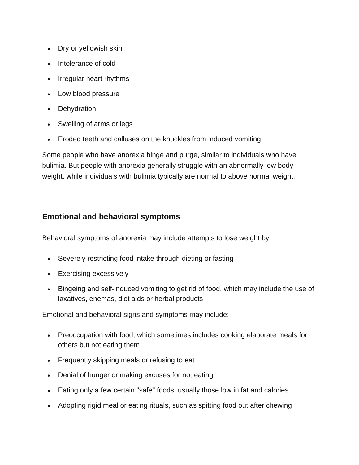- Dry or yellowish skin
- Intolerance of cold
- Irregular heart rhythms
- Low blood pressure
- Dehydration
- Swelling of arms or legs
- Eroded teeth and calluses on the knuckles from induced vomiting

Some people who have anorexia binge and purge, similar to individuals who have bulimia. But people with anorexia generally struggle with an abnormally low body weight, while individuals with bulimia typically are normal to above normal weight.

## **Emotional and behavioral symptoms**

Behavioral symptoms of anorexia may include attempts to lose weight by:

- Severely restricting food intake through dieting or fasting
- Exercising excessively
- Bingeing and self-induced vomiting to get rid of food, which may include the use of laxatives, enemas, diet aids or herbal products

Emotional and behavioral signs and symptoms may include:

- Preoccupation with food, which sometimes includes cooking elaborate meals for others but not eating them
- Frequently skipping meals or refusing to eat
- Denial of hunger or making excuses for not eating
- Eating only a few certain "safe" foods, usually those low in fat and calories
- Adopting rigid meal or eating rituals, such as spitting food out after chewing